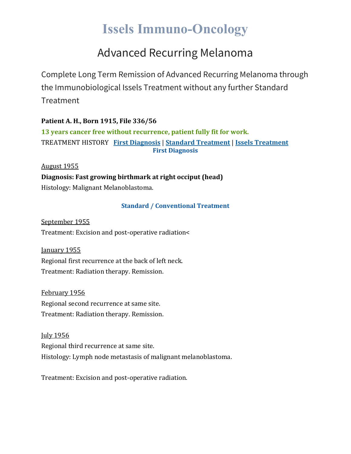# **Issels Immuno-Oncology**

### Advanced Recurring Melanoma

Complete Long Term Remission of Advanced Recurring Melanoma through the Immunobiological Issels Treatment without any further Standard **Treatment** 

**Patient A. H., Born 1915, File 336/56 13 years cancer free without recurrence, patient fully fit for work.** TREATMENT HISTORY **First [Diagnosis](https://issels.com/cancer-cases/melanoma-advanced-recurring/#First)** | **Standard [Treatment](https://issels.com/cancer-cases/melanoma-advanced-recurring/#Standard)** | **Issels [Treatment](https://issels.com/cancer-cases/melanoma-advanced-recurring/#Issels) First Diagnosis**

August 1955 **Diagnosis: Fast growing birthmark at right occiput (head)** Histology: Malignant Melanoblastoma.

#### **Standard / Conventional Treatment**

September 1955 Treatment: Excision and post-operative radiation<

January 1955 Regional first recurrence at the back of left neck. Treatment: Radiation therapy. Remission.

February 1956 Regional second recurrence at same site. Treatment: Radiation therapy. Remission.

July 1956 Regional third recurrence at same site. Histology: Lymph node metastasis of malignant melanoblastoma.

Treatment: Excision and post-operative radiation.